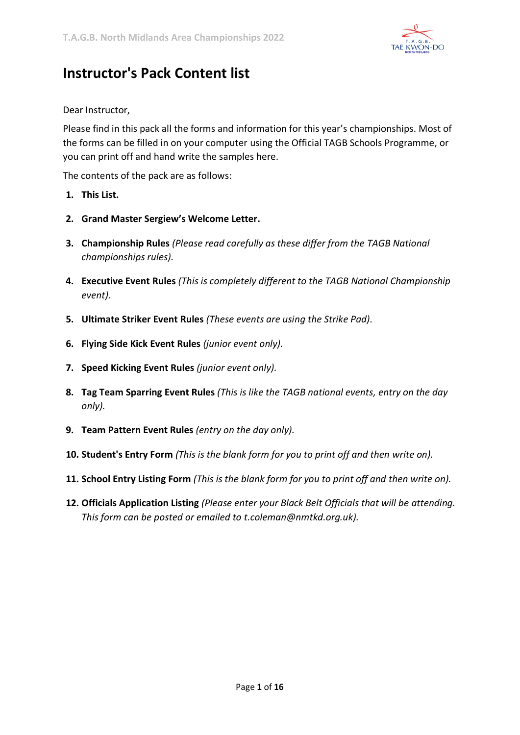

### **Instructor's Pack Content list**

### Dear Instructor,

Please find in this pack all the forms and information for this year's championships. Most of the forms can be filled in on your computer using the Official TAGB Schools Programme, or you can print off and hand write the samples here.

The contents of the pack are as follows:

- **1. This List.**
- **2. Grand Master Sergiew's Welcome Letter.**
- **3. Championship Rules** *(Please read carefully as these differ from the TAGB National championships rules).*
- **4. Executive Event Rules** *(This is completely different to the TAGB National Championship event).*
- **5. Ultimate Striker Event Rules** *(These events are using the Strike Pad).*
- **6. Flying Side Kick Event Rules** *(junior event only).*
- **7. Speed Kicking Event Rules** *(junior event only).*
- **8. Tag Team Sparring Event Rules** *(This is like the TAGB national events, entry on the day only).*
- **9. Team Pattern Event Rules** *(entry on the day only).*
- **10. Student's Entry Form** *(This is the blank form for you to print off and then write on).*
- **11. School Entry Listing Form** *(This is the blank form for you to print off and then write on).*
- **12. Officials Application Listing** *(Please enter your Black Belt Officials that will be attending. This form can be posted or emailed to t.coleman@nmtkd.org.uk).*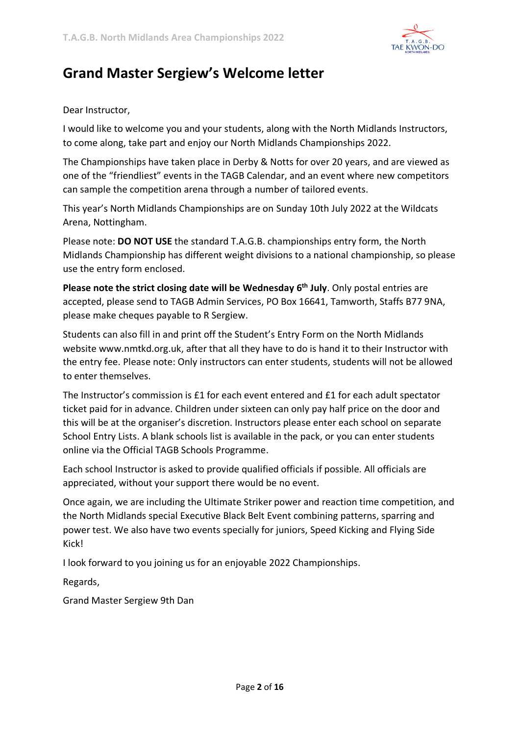

# **Grand Master Sergiew's Welcome letter**

### Dear Instructor,

I would like to welcome you and your students, along with the North Midlands Instructors, to come along, take part and enjoy our North Midlands Championships 2022.

The Championships have taken place in Derby & Notts for over 20 years, and are viewed as one of the "friendliest" events in the TAGB Calendar, and an event where new competitors can sample the competition arena through a number of tailored events.

This year's North Midlands Championships are on Sunday 10th July 2022 at the Wildcats Arena, Nottingham.

Please note: **DO NOT USE** the standard T.A.G.B. championships entry form, the North Midlands Championship has different weight divisions to a national championship, so please use the entry form enclosed.

**Please note the strict closing date will be Wednesday 6 th July**. Only postal entries are accepted, please send to TAGB Admin Services, PO Box 16641, Tamworth, Staffs B77 9NA, please make cheques payable to R Sergiew.

Students can also fill in and print off the Student's Entry Form on the North Midlands website www.nmtkd.org.uk, after that all they have to do is hand it to their Instructor with the entry fee. Please note: Only instructors can enter students, students will not be allowed to enter themselves.

The Instructor's commission is £1 for each event entered and £1 for each adult spectator ticket paid for in advance. Children under sixteen can only pay half price on the door and this will be at the organiser's discretion. Instructors please enter each school on separate School Entry Lists. A blank schools list is available in the pack, or you can enter students online via the Official TAGB Schools Programme.

Each school Instructor is asked to provide qualified officials if possible. All officials are appreciated, without your support there would be no event.

Once again, we are including the Ultimate Striker power and reaction time competition, and the North Midlands special Executive Black Belt Event combining patterns, sparring and power test. We also have two events specially for juniors, Speed Kicking and Flying Side Kick!

I look forward to you joining us for an enjoyable 2022 Championships.

Regards,

Grand Master Sergiew 9th Dan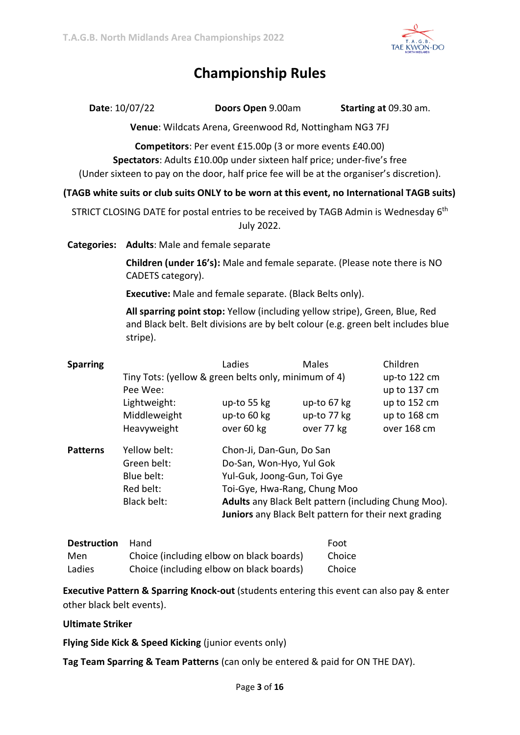

# **Championship Rules**

|                                                                                                                                                                                                                                 | Date: 10/07/22                                                                                                                                                              | Doors Open 9.00am                                                                                                                                                                                                                    |             |        | Starting at 09.30 am.                        |
|---------------------------------------------------------------------------------------------------------------------------------------------------------------------------------------------------------------------------------|-----------------------------------------------------------------------------------------------------------------------------------------------------------------------------|--------------------------------------------------------------------------------------------------------------------------------------------------------------------------------------------------------------------------------------|-------------|--------|----------------------------------------------|
| Venue: Wildcats Arena, Greenwood Rd, Nottingham NG3 7FJ                                                                                                                                                                         |                                                                                                                                                                             |                                                                                                                                                                                                                                      |             |        |                                              |
| Competitors: Per event £15.00p (3 or more events £40.00)<br>Spectators: Adults £10.00p under sixteen half price; under-five's free<br>(Under sixteen to pay on the door, half price fee will be at the organiser's discretion). |                                                                                                                                                                             |                                                                                                                                                                                                                                      |             |        |                                              |
|                                                                                                                                                                                                                                 | (TAGB white suits or club suits ONLY to be worn at this event, no International TAGB suits)                                                                                 |                                                                                                                                                                                                                                      |             |        |                                              |
|                                                                                                                                                                                                                                 | STRICT CLOSING DATE for postal entries to be received by TAGB Admin is Wednesday 6 <sup>th</sup>                                                                            | July 2022.                                                                                                                                                                                                                           |             |        |                                              |
| <b>Categories:</b>                                                                                                                                                                                                              | <b>Adults:</b> Male and female separate                                                                                                                                     |                                                                                                                                                                                                                                      |             |        |                                              |
|                                                                                                                                                                                                                                 | Children (under 16's): Male and female separate. (Please note there is NO<br>CADETS category).                                                                              |                                                                                                                                                                                                                                      |             |        |                                              |
|                                                                                                                                                                                                                                 | <b>Executive:</b> Male and female separate. (Black Belts only).                                                                                                             |                                                                                                                                                                                                                                      |             |        |                                              |
|                                                                                                                                                                                                                                 | All sparring point stop: Yellow (including yellow stripe), Green, Blue, Red<br>and Black belt. Belt divisions are by belt colour (e.g. green belt includes blue<br>stripe). |                                                                                                                                                                                                                                      |             |        |                                              |
| <b>Sparring</b>                                                                                                                                                                                                                 |                                                                                                                                                                             | Ladies                                                                                                                                                                                                                               | Males       |        | Children                                     |
|                                                                                                                                                                                                                                 | Tiny Tots: (yellow & green belts only, minimum of 4)<br>Pee Wee:<br>Lightweight:                                                                                            | up-to 55 kg                                                                                                                                                                                                                          | up-to 67 kg |        | up-to 122 cm<br>up to 137 cm<br>up to 152 cm |
|                                                                                                                                                                                                                                 | Middleweight                                                                                                                                                                | up-to 60 kg                                                                                                                                                                                                                          | up-to 77 kg |        | up to 168 cm                                 |
|                                                                                                                                                                                                                                 | Heavyweight                                                                                                                                                                 | over 60 kg                                                                                                                                                                                                                           | over 77 kg  |        | over 168 cm                                  |
| <b>Patterns</b>                                                                                                                                                                                                                 | Yellow belt:<br>Green belt:<br>Blue belt:<br>Red belt:<br><b>Black belt:</b>                                                                                                | Chon-Ji, Dan-Gun, Do San<br>Do-San, Won-Hyo, Yul Gok<br>Yul-Guk, Joong-Gun, Toi Gye<br>Toi-Gye, Hwa-Rang, Chung Moo<br>Adults any Black Belt pattern (including Chung Moo).<br>Juniors any Black Belt pattern for their next grading |             |        |                                              |
| <b>Destruction</b><br>Men                                                                                                                                                                                                       | Hand<br>Choice (including elbow on black boards)                                                                                                                            |                                                                                                                                                                                                                                      | Foot        | Choice |                                              |

**Executive Pattern & Sparring Knock-out** (students entering this event can also pay & enter other black belt events).

**Ultimate Striker**

**Flying Side Kick & Speed Kicking** (junior events only)

**Tag Team Sparring & Team Patterns** (can only be entered & paid for ON THE DAY).

Ladies Choice (including elbow on black boards) Choice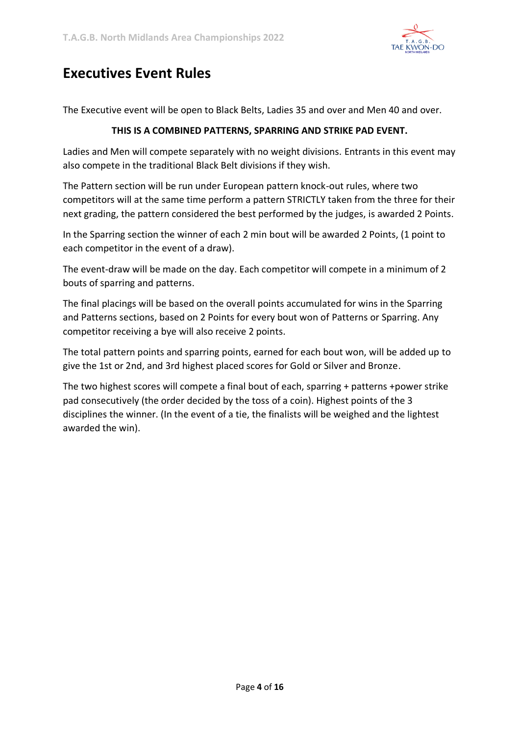

## **Executives Event Rules**

The Executive event will be open to Black Belts, Ladies 35 and over and Men 40 and over.

### **THIS IS A COMBINED PATTERNS, SPARRING AND STRIKE PAD EVENT.**

Ladies and Men will compete separately with no weight divisions. Entrants in this event may also compete in the traditional Black Belt divisions if they wish.

The Pattern section will be run under European pattern knock-out rules, where two competitors will at the same time perform a pattern STRICTLY taken from the three for their next grading, the pattern considered the best performed by the judges, is awarded 2 Points.

In the Sparring section the winner of each 2 min bout will be awarded 2 Points, (1 point to each competitor in the event of a draw).

The event-draw will be made on the day. Each competitor will compete in a minimum of 2 bouts of sparring and patterns.

The final placings will be based on the overall points accumulated for wins in the Sparring and Patterns sections, based on 2 Points for every bout won of Patterns or Sparring. Any competitor receiving a bye will also receive 2 points.

The total pattern points and sparring points, earned for each bout won, will be added up to give the 1st or 2nd, and 3rd highest placed scores for Gold or Silver and Bronze.

The two highest scores will compete a final bout of each, sparring + patterns +power strike pad consecutively (the order decided by the toss of a coin). Highest points of the 3 disciplines the winner. (In the event of a tie, the finalists will be weighed and the lightest awarded the win).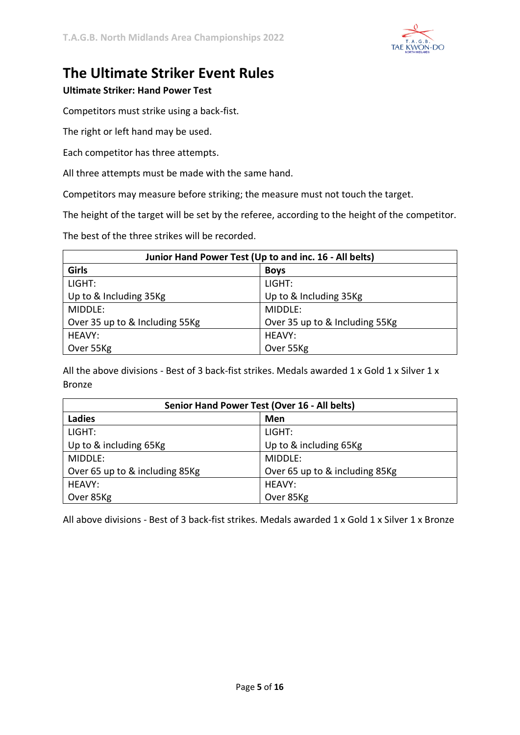

## **The Ultimate Striker Event Rules**

### **Ultimate Striker: Hand Power Test**

Competitors must strike using a back-fist.

The right or left hand may be used.

Each competitor has three attempts.

All three attempts must be made with the same hand.

Competitors may measure before striking; the measure must not touch the target.

The height of the target will be set by the referee, according to the height of the competitor.

The best of the three strikes will be recorded.

| Junior Hand Power Test (Up to and inc. 16 - All belts) |                                |  |
|--------------------------------------------------------|--------------------------------|--|
| Girls                                                  | <b>Boys</b>                    |  |
| LIGHT:                                                 | LIGHT:                         |  |
| Up to & Including 35Kg                                 | Up to & Including 35Kg         |  |
| MIDDLE:                                                | MIDDLE:                        |  |
| Over 35 up to & Including 55Kg                         | Over 35 up to & Including 55Kg |  |
| HEAVY:                                                 | HEAVY:                         |  |
| Over 55Kg                                              | Over 55Kg                      |  |

All the above divisions - Best of 3 back-fist strikes. Medals awarded 1 x Gold 1 x Silver 1 x Bronze

| Senior Hand Power Test (Over 16 - All belts) |                                |  |
|----------------------------------------------|--------------------------------|--|
| <b>Ladies</b>                                | Men                            |  |
| LIGHT:                                       | LIGHT:                         |  |
| Up to & including 65Kg                       | Up to & including 65Kg         |  |
| MIDDLE:                                      | MIDDLE:                        |  |
| Over 65 up to & including 85Kg               | Over 65 up to & including 85Kg |  |
| HEAVY:                                       | HEAVY:                         |  |
| Over 85Kg                                    | Over 85Kg                      |  |

All above divisions - Best of 3 back-fist strikes. Medals awarded 1 x Gold 1 x Silver 1 x Bronze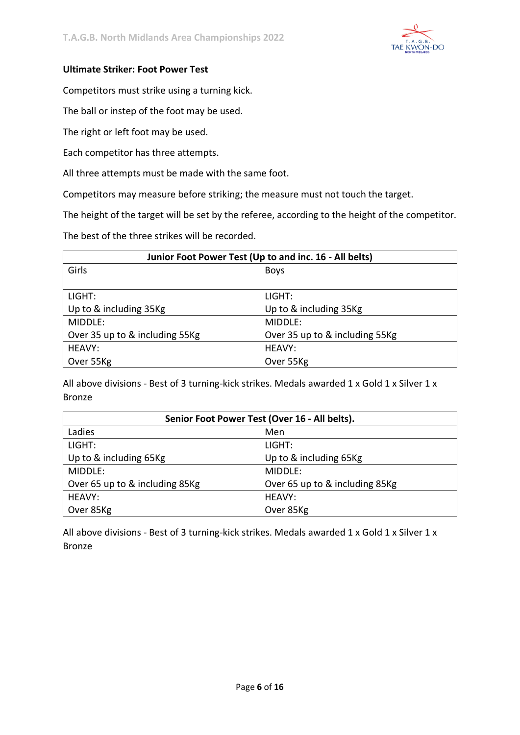

### **Ultimate Striker: Foot Power Test**

Competitors must strike using a turning kick.

The ball or instep of the foot may be used.

The right or left foot may be used.

Each competitor has three attempts.

All three attempts must be made with the same foot.

Competitors may measure before striking; the measure must not touch the target.

The height of the target will be set by the referee, according to the height of the competitor.

The best of the three strikes will be recorded.

| Junior Foot Power Test (Up to and inc. 16 - All belts) |                                |  |
|--------------------------------------------------------|--------------------------------|--|
| Girls                                                  | <b>Boys</b>                    |  |
|                                                        |                                |  |
| LIGHT:                                                 | LIGHT:                         |  |
| Up to & including 35Kg                                 | Up to & including 35Kg         |  |
| MIDDLE:                                                | MIDDLE:                        |  |
| Over 35 up to & including 55Kg                         | Over 35 up to & including 55Kg |  |
| HEAVY:                                                 | HEAVY:                         |  |
| Over 55Kg                                              | Over 55Kg                      |  |

All above divisions - Best of 3 turning-kick strikes. Medals awarded 1 x Gold 1 x Silver 1 x Bronze

| Senior Foot Power Test (Over 16 - All belts). |                                |  |
|-----------------------------------------------|--------------------------------|--|
| Ladies                                        | Men                            |  |
| LIGHT:                                        | LIGHT:                         |  |
| Up to & including 65Kg                        | Up to & including 65Kg         |  |
| MIDDLE:                                       | MIDDLE:                        |  |
| Over 65 up to & including 85Kg                | Over 65 up to & including 85Kg |  |
| HEAVY:                                        | HEAVY:                         |  |
| Over 85Kg                                     | Over 85Kg                      |  |

All above divisions - Best of 3 turning-kick strikes. Medals awarded 1 x Gold 1 x Silver 1 x Bronze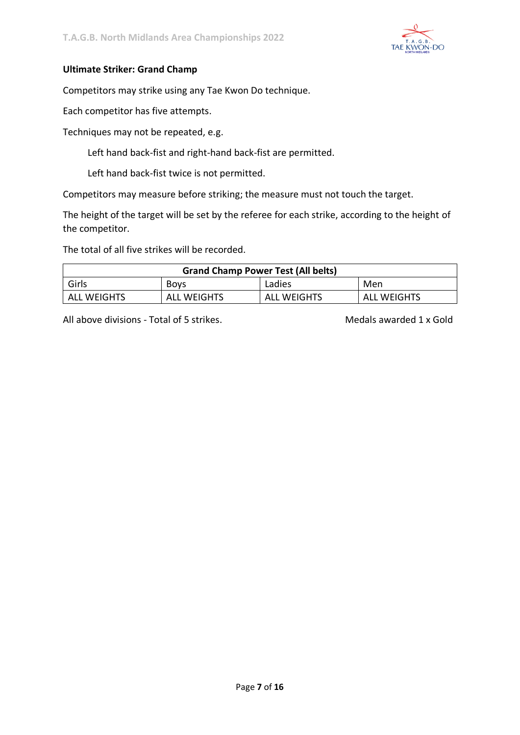

### **Ultimate Striker: Grand Champ**

Competitors may strike using any Tae Kwon Do technique.

Each competitor has five attempts.

Techniques may not be repeated, e.g.

Left hand back-fist and right-hand back-fist are permitted.

Left hand back-fist twice is not permitted.

Competitors may measure before striking; the measure must not touch the target.

The height of the target will be set by the referee for each strike, according to the height of the competitor.

The total of all five strikes will be recorded.

| <b>Grand Champ Power Test (All belts)</b> |                    |                    |                    |
|-------------------------------------------|--------------------|--------------------|--------------------|
| Girls                                     | <b>Boys</b>        | Ladies             | Men                |
| ALL WEIGHTS                               | <b>ALL WEIGHTS</b> | <b>ALL WEIGHTS</b> | <b>ALL WEIGHTS</b> |

All above divisions - Total of 5 strikes. Medals awarded 1 x Gold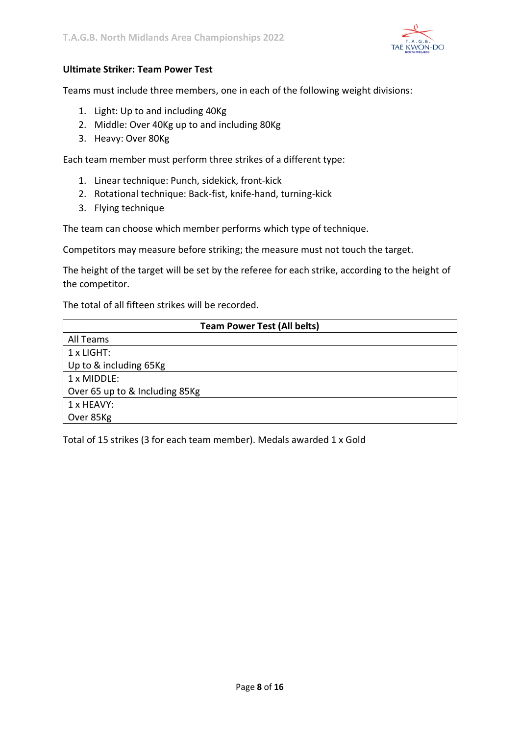

### **Ultimate Striker: Team Power Test**

Teams must include three members, one in each of the following weight divisions:

- 1. Light: Up to and including 40Kg
- 2. Middle: Over 40Kg up to and including 80Kg
- 3. Heavy: Over 80Kg

Each team member must perform three strikes of a different type:

- 1. Linear technique: Punch, sidekick, front-kick
- 2. Rotational technique: Back-fist, knife-hand, turning-kick
- 3. Flying technique

The team can choose which member performs which type of technique.

Competitors may measure before striking; the measure must not touch the target.

The height of the target will be set by the referee for each strike, according to the height of the competitor.

The total of all fifteen strikes will be recorded.

| <b>Team Power Test (All belts)</b> |  |  |
|------------------------------------|--|--|
| All Teams                          |  |  |
| $1 \times$ LIGHT:                  |  |  |
| Up to & including 65Kg             |  |  |
| 1 x MIDDLE:                        |  |  |
| Over 65 up to & Including 85Kg     |  |  |
| 1 x HEAVY:                         |  |  |
| Over 85Kg                          |  |  |

Total of 15 strikes (3 for each team member). Medals awarded 1 x Gold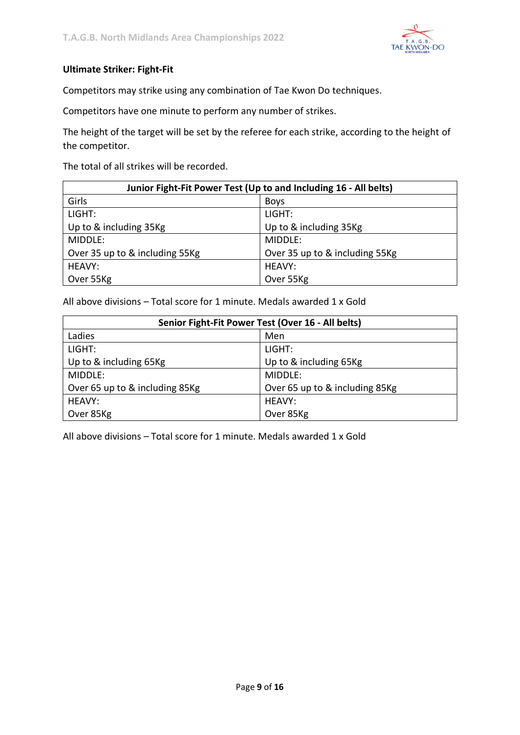

### **Ultimate Striker: Fight-Fit**

Competitors may strike using any combination of Tae Kwon Do techniques.

Competitors have one minute to perform any number of strikes.

The height of the target will be set by the referee for each strike, according to the height of the competitor.

The total of all strikes will be recorded.

| Junior Fight-Fit Power Test (Up to and Including 16 - All belts) |                                |  |
|------------------------------------------------------------------|--------------------------------|--|
| Girls                                                            | <b>Boys</b>                    |  |
| LIGHT:                                                           | LIGHT:                         |  |
| Up to & including 35Kg                                           | Up to & including 35Kg         |  |
| MIDDLE:                                                          | MIDDLE:                        |  |
| Over 35 up to & including 55Kg                                   | Over 35 up to & including 55Kg |  |
| HEAVY:                                                           | HEAVY:                         |  |
| Over 55Kg                                                        | Over 55Kg                      |  |

All above divisions – Total score for 1 minute. Medals awarded 1 x Gold

| Senior Fight-Fit Power Test (Over 16 - All belts) |                                |  |
|---------------------------------------------------|--------------------------------|--|
| Ladies                                            | Men                            |  |
| LIGHT:                                            | LIGHT:                         |  |
| Up to & including 65Kg                            | Up to & including 65Kg         |  |
| MIDDLE:                                           | MIDDLE:                        |  |
| Over 65 up to & including 85Kg                    | Over 65 up to & including 85Kg |  |
| HEAVY:                                            | HEAVY:                         |  |
| Over 85Kg                                         | Over 85Kg                      |  |

All above divisions – Total score for 1 minute. Medals awarded 1 x Gold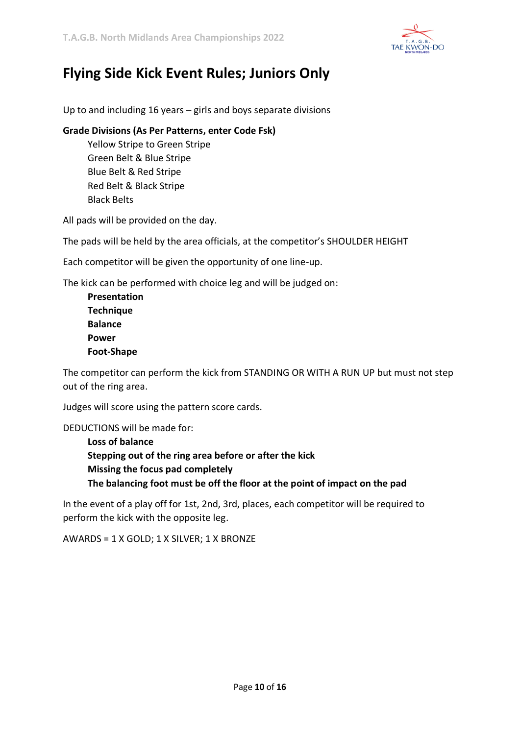

# **Flying Side Kick Event Rules; Juniors Only**

Up to and including 16 years – girls and boys separate divisions

### **Grade Divisions (As Per Patterns, enter Code Fsk)**

Yellow Stripe to Green Stripe Green Belt & Blue Stripe Blue Belt & Red Stripe Red Belt & Black Stripe Black Belts

All pads will be provided on the day.

The pads will be held by the area officials, at the competitor's SHOULDER HEIGHT

Each competitor will be given the opportunity of one line-up.

The kick can be performed with choice leg and will be judged on:

| <b>Presentation</b> |
|---------------------|
| <b>Technique</b>    |
| <b>Balance</b>      |
| Power               |
| <b>Foot-Shape</b>   |

The competitor can perform the kick from STANDING OR WITH A RUN UP but must not step out of the ring area.

Judges will score using the pattern score cards.

DEDUCTIONS will be made for:

**Loss of balance Stepping out of the ring area before or after the kick Missing the focus pad completely The balancing foot must be off the floor at the point of impact on the pad**

In the event of a play off for 1st, 2nd, 3rd, places, each competitor will be required to perform the kick with the opposite leg.

AWARDS = 1 X GOLD; 1 X SILVER; 1 X BRONZE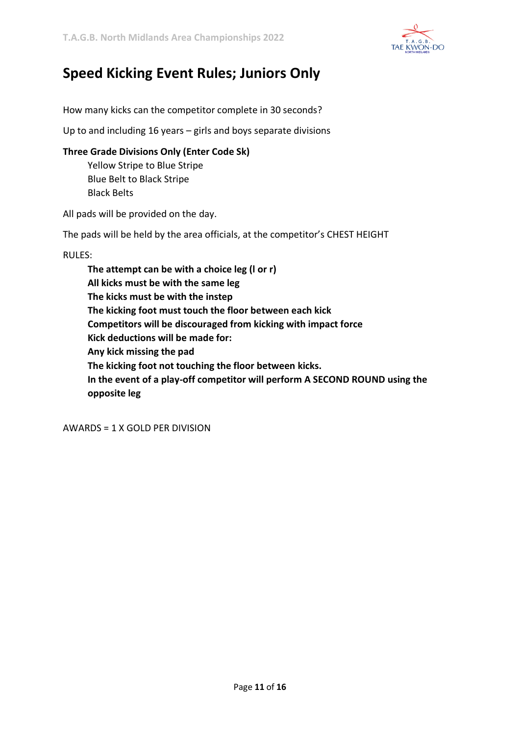

## **Speed Kicking Event Rules; Juniors Only**

How many kicks can the competitor complete in 30 seconds?

Up to and including 16 years – girls and boys separate divisions

### **Three Grade Divisions Only (Enter Code Sk)**

Yellow Stripe to Blue Stripe Blue Belt to Black Stripe Black Belts

All pads will be provided on the day.

The pads will be held by the area officials, at the competitor's CHEST HEIGHT

#### RULES:

**The attempt can be with a choice leg (l or r) All kicks must be with the same leg The kicks must be with the instep The kicking foot must touch the floor between each kick Competitors will be discouraged from kicking with impact force Kick deductions will be made for: Any kick missing the pad The kicking foot not touching the floor between kicks. In the event of a play-off competitor will perform A SECOND ROUND using the opposite leg**

AWARDS = 1 X GOLD PER DIVISION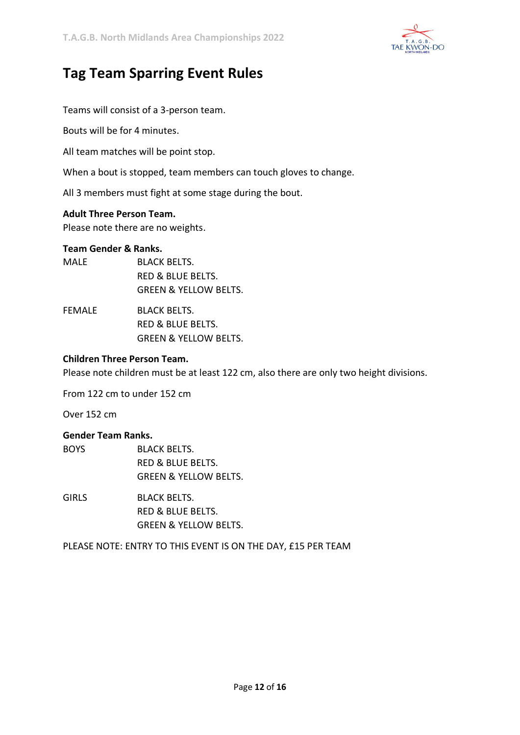

## **Tag Team Sparring Event Rules**

Teams will consist of a 3-person team.

Bouts will be for 4 minutes.

All team matches will be point stop.

When a bout is stopped, team members can touch gloves to change.

All 3 members must fight at some stage during the bout.

#### **Adult Three Person Team.**

Please note there are no weights.

### **Team Gender & Ranks.**

| MALE | <b>BLACK BELTS.</b>              |
|------|----------------------------------|
|      | RED & BLUE BELTS.                |
|      | <b>GREEN &amp; YELLOW BELTS.</b> |

FEMALE BLACK BELTS. RED & BLUE BELTS. GREEN & YELLOW BELTS.

#### **Children Three Person Team.**

Please note children must be at least 122 cm, also there are only two height divisions.

From 122 cm to under 152 cm

Over 152 cm

#### **Gender Team Ranks.**

| <b>BOYS</b> | <b>BLACK BELTS.</b>              |
|-------------|----------------------------------|
|             | RED & BLUE BELTS.                |
|             | <b>GREEN &amp; YELLOW BELTS.</b> |

GIRLS BLACK BELTS. RED & BLUE BELTS. GREEN & YELLOW BELTS.

PLEASE NOTE: ENTRY TO THIS EVENT IS ON THE DAY, £15 PER TEAM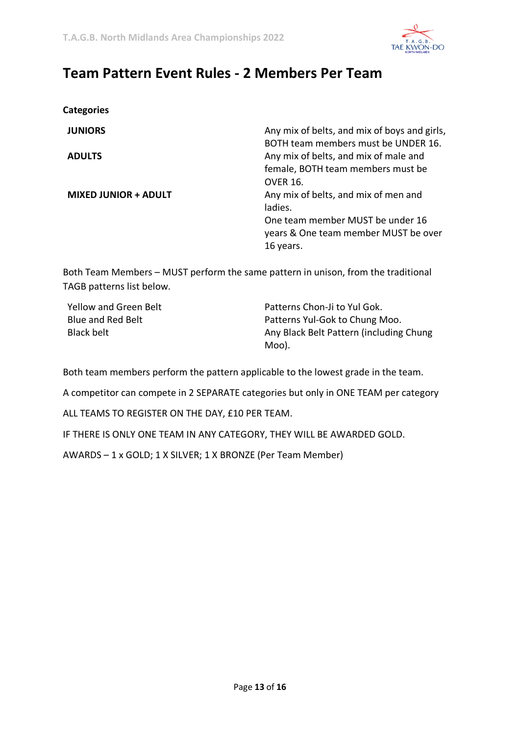

### **Team Pattern Event Rules - 2 Members Per Team**

| <b>JUNIORS</b>              | Any mix of belts, and mix of boys and girls, |
|-----------------------------|----------------------------------------------|
|                             | BOTH team members must be UNDER 16.          |
| <b>ADULTS</b>               | Any mix of belts, and mix of male and        |
|                             | female, BOTH team members must be            |
|                             | <b>OVER 16.</b>                              |
| <b>MIXED JUNIOR + ADULT</b> | Any mix of belts, and mix of men and         |
|                             | ladies.                                      |
|                             | One team member MUST be under 16             |
|                             | years & One team member MUST be over         |
|                             | 16 years.                                    |
|                             |                                              |

Both Team Members – MUST perform the same pattern in unison, from the traditional TAGB patterns list below.

**Categories**

Yellow and Green Belt **Patterns Chon-Ji to Yul Gok.** Blue and Red Belt **Patterns Yul-Gok to Chung Moo.** Black belt **Any Black Belt Pattern (including Chung** Any Black Belt Pattern (including Chung Moo).

Both team members perform the pattern applicable to the lowest grade in the team.

A competitor can compete in 2 SEPARATE categories but only in ONE TEAM per category

ALL TEAMS TO REGISTER ON THE DAY, £10 PER TEAM.

IF THERE IS ONLY ONE TEAM IN ANY CATEGORY, THEY WILL BE AWARDED GOLD.

AWARDS – 1 x GOLD; 1 X SILVER; 1 X BRONZE (Per Team Member)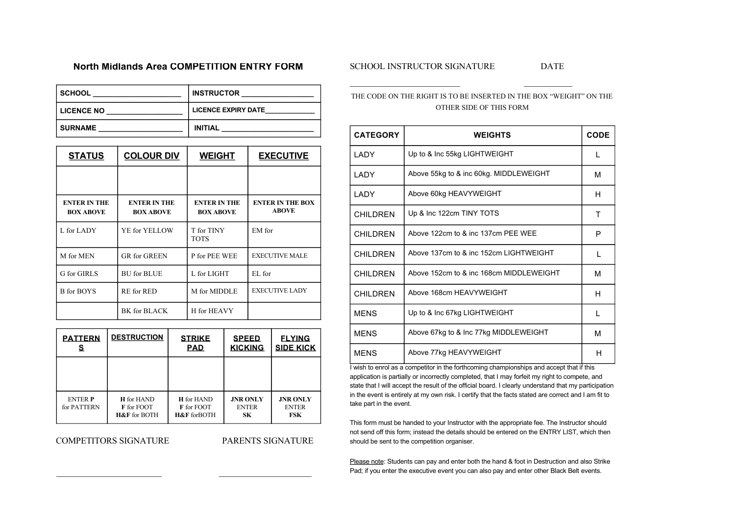#### **North Midlands Area COMPETITION ENTRY FORM**

SCHOOL INSTRUCTOR SIGNATURE **DATE** 

| <b>SCHOOL</b>     | <b>INSTRUCTOR</b>          |
|-------------------|----------------------------|
| <b>LICENCE NO</b> | <b>LICENCE EXPIRY DATE</b> |
| <b>SURNAME</b>    | <b>INITIAL</b>             |

| <b>STATUS</b>                           | <b>COLOUR DIV</b>                       | <b>WEIGHT</b>                           | <b>EXECUTIVE</b>                        |  |
|-----------------------------------------|-----------------------------------------|-----------------------------------------|-----------------------------------------|--|
|                                         |                                         |                                         |                                         |  |
| <b>ENTER IN THE</b><br><b>BOX ABOVE</b> | <b>ENTER IN THE</b><br><b>BOX ABOVE</b> | <b>ENTER IN THE</b><br><b>BOX ABOVE</b> | <b>ENTER IN THE BOX</b><br><b>ABOVE</b> |  |
| L for LADY                              | YE for YELLOW                           | T for TINY<br><b>TOTS</b>               | EM for                                  |  |
| M for MEN                               | <b>GR</b> for GREEN                     | P for PEE WEE                           | <b>EXECUTIVE MALE</b>                   |  |
| G for GIRLS                             | <b>BU</b> for <b>BLUE</b>               | L for LIGHT                             | EL for                                  |  |
| <b>B</b> for BOYS                       | RE for RED                              | M for MIDDLE                            | <b>EXECUTIVE LADY</b>                   |  |
|                                         | BK for BLACK                            | H for HEAVY                             |                                         |  |

| <b>PATTERN</b><br>s           | <b>DESTRUCTION</b>                                                | <b>STRIKE</b><br><b>PAD</b>                                      | <b>SPEED</b><br><b>KICKING</b>        | <b>FLYING</b><br><b>SIDE KICK</b>      |  |
|-------------------------------|-------------------------------------------------------------------|------------------------------------------------------------------|---------------------------------------|----------------------------------------|--|
|                               |                                                                   |                                                                  |                                       |                                        |  |
| <b>ENTER P</b><br>for PATTERN | <b>H</b> for HAND<br><b>F</b> for FOOT<br><b>H&amp;F</b> for BOTH | <b>H</b> for HAND<br><b>F</b> for FOOT<br><b>H&amp;F</b> forBOTH | <b>JNR ONLY</b><br><b>ENTER</b><br>SК | <b>JNR ONLY</b><br><b>ENTER</b><br>FSK |  |

#### **COMPETITORS SIGNATURE**

**PARENTS SIGNATURE** 

THE CODE ON THE RIGHT IS TO BE INSERTED IN THE BOX "WEIGHT" ON THE OTHER SIDE OF THIS FORM

| <b>CATEGORY</b> | <b>WEIGHTS</b>                          |   |
|-----------------|-----------------------------------------|---|
| LADY            | Up to & Inc 55kg LIGHTWEIGHT            | L |
| LADY            | Above 55kg to & inc 60kg. MIDDLEWEIGHT  | М |
| LADY            | Above 60kg HEAVYWEIGHT                  | н |
| <b>CHILDREN</b> | Up & Inc 122cm TINY TOTS                | Т |
| <b>CHILDREN</b> | Above 122cm to & inc 137cm PEE WEE      | P |
| <b>CHILDREN</b> | Above 137cm to & inc 152cm LIGHTWEIGHT  |   |
| <b>CHILDREN</b> | Above 152cm to & inc 168cm MIDDLEWEIGHT | М |
| <b>CHILDREN</b> | Above 168cm HEAVYWEIGHT                 | н |
| <b>MFNS</b>     | Up to & Inc 67kg LIGHTWEIGHT            | L |
| <b>MENS</b>     | Above 67kg to & Inc 77kg MIDDLEWEIGHT   | М |
| <b>MENS</b>     | Above 77kg HEAVYWEIGHT                  | н |

I wish to enrol as a competitor in the forthcoming championships and accept that if this application is partially or incorrectly completed, that I may forfeit my right to compete, and state that I will accept the result of the official board. I clearly understand that my participation in the event is entirely at my own risk. I certify that the facts stated are correct and I am fit to take part in the event.

This form must be handed to your Instructor with the appropriate fee. The Instructor should not send off this form: instead the details should be entered on the ENTRY LIST, which then should be sent to the competition organiser.

Please note: Students can pay and enter both the hand & foot in Destruction and also Strike Pad; if you enter the executive event you can also pay and enter other Black Belt events.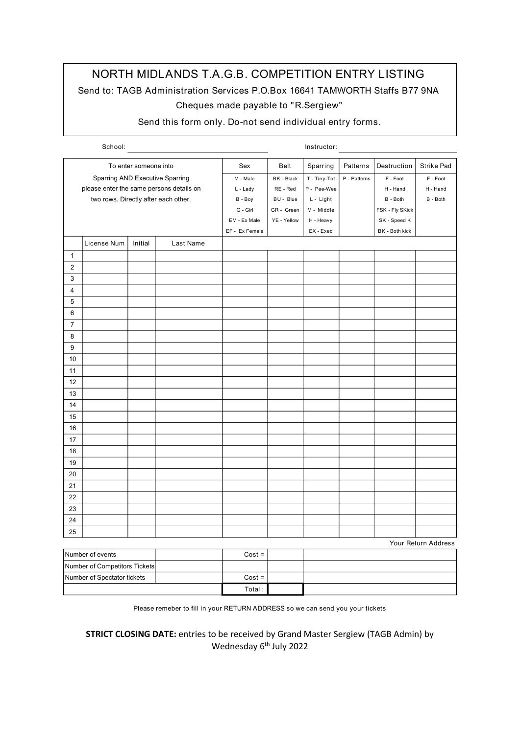### NORTH MIDLANDS T.A.G.B. COMPETITION ENTRY LISTING

Send to: TAGB Administration Services P.O.Box 16641 TAMWORTH Staffs B77 9NA Cheques made payable to "R.Sergiew"

Send this form only. Do-not send individual entry forms.

| School:                         |                                          |         |           | Instructor:    |              |              |             |                 |          |
|---------------------------------|------------------------------------------|---------|-----------|----------------|--------------|--------------|-------------|-----------------|----------|
| To enter someone into           |                                          |         | Sex       | Belt           | Sparring     | Patterns     | Destruction | Strike Pad      |          |
| Sparring AND Executive Sparring |                                          |         | M - Male  | BK - Black     | T - Tiny-Tot | P - Patterns | F - Foot    | F - Foot        |          |
|                                 | please enter the same persons details on |         |           | L - Lady       | RE - Red     | P - Pee-Wee  |             | H - Hand        | H - Hand |
|                                 | two rows. Directly after each other.     |         |           | B - Boy        | BU - Blue    | L - Light    |             | B - Both        | B - Both |
|                                 |                                          |         |           | G - Girl       | GR - Green   | M - Middle   |             | FSK - Fly SKick |          |
|                                 |                                          |         |           | EM - Ex Male   | YE - Yellow  | H - Heavy    |             | SK - Speed K    |          |
|                                 |                                          |         |           | EF - Ex Female |              | EX - Exec    |             | BK - Both kick  |          |
|                                 | License Num                              | Initial | Last Name |                |              |              |             |                 |          |
| 1                               |                                          |         |           |                |              |              |             |                 |          |
| $\overline{2}$                  |                                          |         |           |                |              |              |             |                 |          |
| 3                               |                                          |         |           |                |              |              |             |                 |          |
| 4                               |                                          |         |           |                |              |              |             |                 |          |
| 5                               |                                          |         |           |                |              |              |             |                 |          |
| 6                               |                                          |         |           |                |              |              |             |                 |          |
| $\overline{7}$                  |                                          |         |           |                |              |              |             |                 |          |
| 8                               |                                          |         |           |                |              |              |             |                 |          |
| 9                               |                                          |         |           |                |              |              |             |                 |          |
| 10                              |                                          |         |           |                |              |              |             |                 |          |
| 11                              |                                          |         |           |                |              |              |             |                 |          |
| 12                              |                                          |         |           |                |              |              |             |                 |          |
| 13                              |                                          |         |           |                |              |              |             |                 |          |
| 14                              |                                          |         |           |                |              |              |             |                 |          |
| 15                              |                                          |         |           |                |              |              |             |                 |          |
| 16                              |                                          |         |           |                |              |              |             |                 |          |
| 17                              |                                          |         |           |                |              |              |             |                 |          |
| 18                              |                                          |         |           |                |              |              |             |                 |          |
| 19                              |                                          |         |           |                |              |              |             |                 |          |
| 20                              |                                          |         |           |                |              |              |             |                 |          |
| 21                              |                                          |         |           |                |              |              |             |                 |          |
| 22                              |                                          |         |           |                |              |              |             |                 |          |
| 23                              |                                          |         |           |                |              |              |             |                 |          |
| 24                              |                                          |         |           |                |              |              |             |                 |          |
| 25                              |                                          |         |           |                |              |              |             |                 |          |
| Your Return Address             |                                          |         |           |                |              |              |             |                 |          |
| Number of events                |                                          |         | $Cost =$  |                |              |              |             |                 |          |
| Number of Competitors Tickets   |                                          |         |           |                |              |              |             |                 |          |
| Number of Spectator tickets     |                                          |         | $Cost =$  |                |              |              |             |                 |          |

Please remeber to fill in your RETURN ADDRESS so we can send you your tickets

 $Total:$ 

**STRICT CLOSING DATE:** entries to be received by Grand Master Sergiew (TAGB Admin) by Wednesday 6<sup>th</sup> July 2022